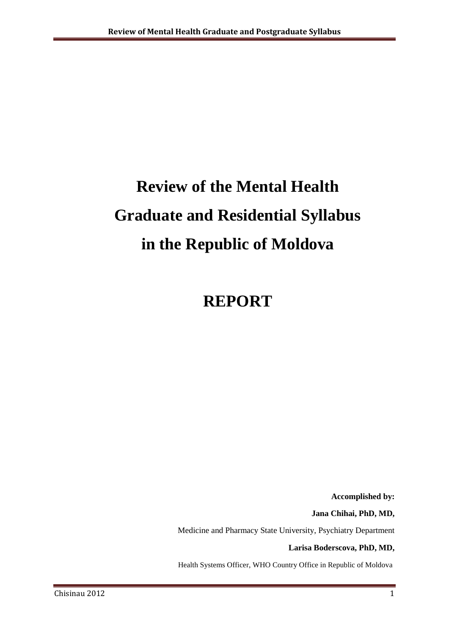# **Review of the Mental Health Graduate and Residential Syllabus in the Republic of Moldova**

# **REPORT**

**Accomplished by:**

**Jana Chihai, PhD, MD,** 

Medicine and Pharmacy State University, Psychiatry Department

**Larisa Boderscova, PhD, MD,**

Health Systems Officer, WHO Country Office in Republic of Moldova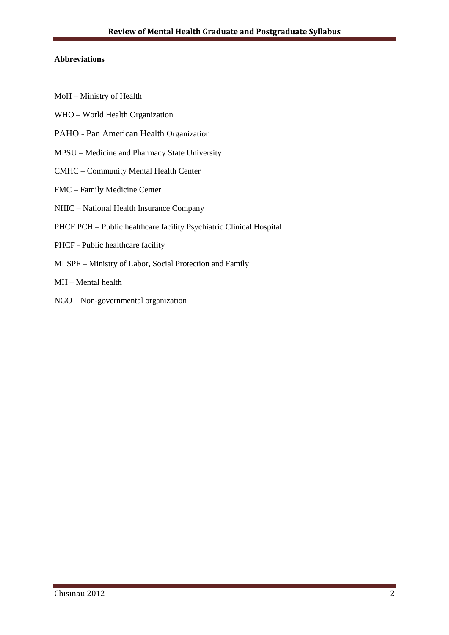#### **Abbreviations**

- MoH Ministry of Health
- WHO World Health Organization
- PAHO Pan American Health Organization
- MPSU Medicine and Pharmacy State University
- CMHC Community Mental Health Center
- FMC Family Medicine Center
- NHIC National Health Insurance Company
- PHCF PCH Public healthcare facility Psychiatric Clinical Hospital
- PHCF Public healthcare facility
- MLSPF Ministry of Labor, Social Protection and Family
- MH Mental health
- NGO Non-governmental organization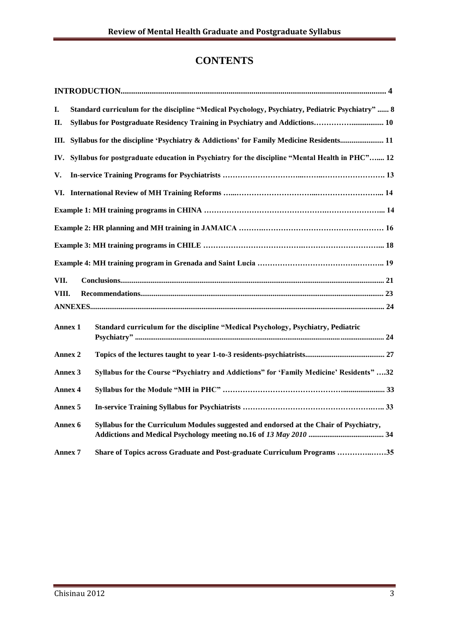# **CONTENTS**

| I.             |  | Standard curriculum for the discipline "Medical Psychology, Psychiatry, Pediatric Psychiatry"  8 |  |
|----------------|--|--------------------------------------------------------------------------------------------------|--|
| П.             |  | Syllabus for Postgraduate Residency Training in Psychiatry and Addictions 10                     |  |
|                |  | III. Syllabus for the discipline 'Psychiatry & Addictions' for Family Medicine Residents 11      |  |
| IV.            |  | Syllabus for postgraduate education in Psychiatry for the discipline "Mental Health in PHC" 12   |  |
| V.             |  |                                                                                                  |  |
|                |  |                                                                                                  |  |
|                |  |                                                                                                  |  |
|                |  |                                                                                                  |  |
|                |  |                                                                                                  |  |
|                |  |                                                                                                  |  |
| VII.           |  |                                                                                                  |  |
| VIII.          |  |                                                                                                  |  |
|                |  |                                                                                                  |  |
| Annex 1        |  | Standard curriculum for the discipline "Medical Psychology, Psychiatry, Pediatric                |  |
| Annex 2        |  |                                                                                                  |  |
| Annex 3        |  | Syllabus for the Course "Psychiatry and Addictions" for 'Family Medicine' Residents" 32          |  |
| Annex 4        |  |                                                                                                  |  |
| Annex 5        |  |                                                                                                  |  |
| Annex 6        |  | Syllabus for the Curriculum Modules suggested and endorsed at the Chair of Psychiatry,           |  |
| <b>Annex 7</b> |  | Share of Topics across Graduate and Post-graduate Curriculum Programs 35                         |  |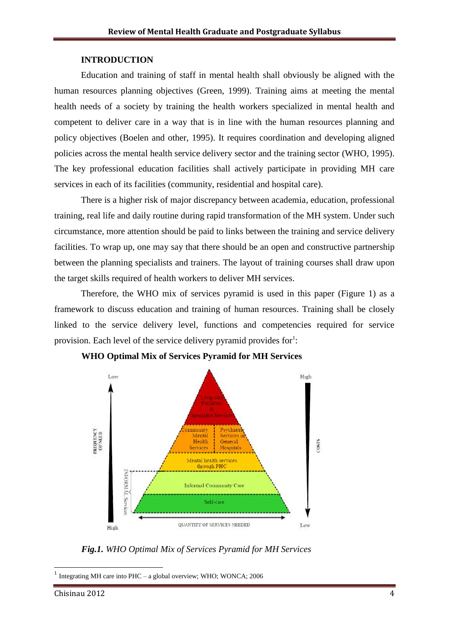#### **INTRODUCTION**

Education and training of staff in mental health shall obviously be aligned with the human resources planning objectives (Green, 1999). Training aims at meeting the mental health needs of a society by training the health workers specialized in mental health and competent to deliver care in a way that is in line with the human resources planning and policy objectives (Boelen and other, 1995). It requires coordination and developing aligned policies across the mental health service delivery sector and the training sector (WHO, 1995). The key professional education facilities shall actively participate in providing MH care services in each of its facilities (community, residential and hospital care).

There is a higher risk of major discrepancy between academia, education, professional training, real life and daily routine during rapid transformation of the MH system. Under such circumstance, more attention should be paid to links between the training and service delivery facilities. To wrap up, one may say that there should be an open and constructive partnership between the planning specialists and trainers. The layout of training courses shall draw upon the target skills required of health workers to deliver MH services.

Therefore, the WHO mix of services pyramid is used in this paper (Figure 1) as a framework to discuss education and training of human resources. Training shall be closely linked to the service delivery level, functions and competencies required for service provision. Each level of the service delivery pyramid provides for $\cdot$ :



**WHO Optimal Mix of Services Pyramid for MH Services**

*Fig.1. WHO Optimal Mix of Services Pyramid for MH Services*

1 Integrating MH care into PHC – a global overview; WHO; WONCA; 2006

**.**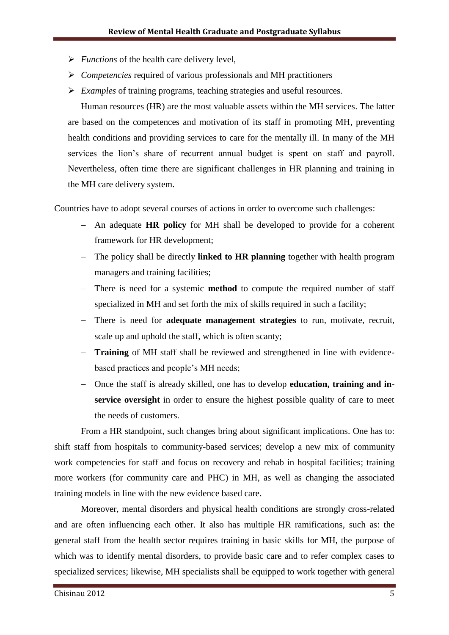- *Functions* of the health care delivery level,
- *Competencies* required of various professionals and MH practitioners
- *Examples* of training programs, teaching strategies and useful resources.

Human resources (HR) are the most valuable assets within the MH services. The latter are based on the competences and motivation of its staff in promoting MH, preventing health conditions and providing services to care for the mentally ill. In many of the MH services the lion's share of recurrent annual budget is spent on staff and payroll. Nevertheless, often time there are significant challenges in HR planning and training in the MH care delivery system.

Countries have to adopt several courses of actions in order to overcome such challenges:

- An adequate **HR policy** for MH shall be developed to provide for a coherent framework for HR development;
- The policy shall be directly **linked to HR planning** together with health program managers and training facilities;
- There is need for a systemic **method** to compute the required number of staff specialized in MH and set forth the mix of skills required in such a facility;
- There is need for **adequate management strategies** to run, motivate, recruit, scale up and uphold the staff, which is often scanty;
- **Training** of MH staff shall be reviewed and strengthened in line with evidencebased practices and people"s MH needs;
- Once the staff is already skilled, one has to develop **education, training and inservice oversight** in order to ensure the highest possible quality of care to meet the needs of customers.

From a HR standpoint, such changes bring about significant implications. One has to: shift staff from hospitals to community-based services; develop a new mix of community work competencies for staff and focus on recovery and rehab in hospital facilities; training more workers (for community care and PHC) in MH, as well as changing the associated training models in line with the new evidence based care.

Moreover, mental disorders and physical health conditions are strongly cross-related and are often influencing each other. It also has multiple HR ramifications, such as: the general staff from the health sector requires training in basic skills for MH, the purpose of which was to identify mental disorders, to provide basic care and to refer complex cases to specialized services; likewise, MH specialists shall be equipped to work together with general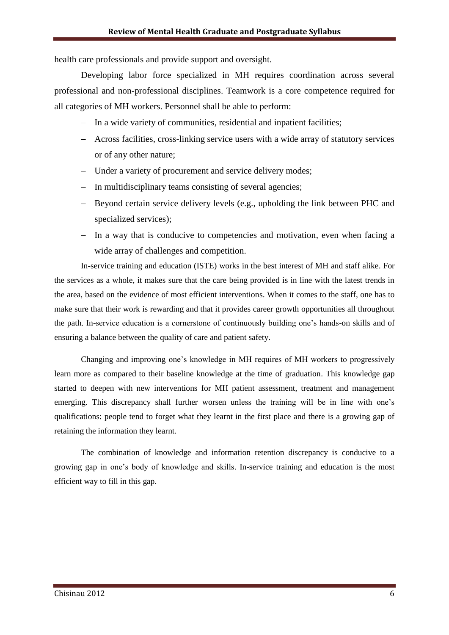health care professionals and provide support and oversight.

Developing labor force specialized in MH requires coordination across several professional and non-professional disciplines. Teamwork is a core competence required for all categories of MH workers. Personnel shall be able to perform:

- In a wide variety of communities, residential and inpatient facilities;
- Across facilities, cross-linking service users with a wide array of statutory services or of any other nature;
- Under a variety of procurement and service delivery modes;
- In multidisciplinary teams consisting of several agencies;
- Beyond certain service delivery levels (e.g., upholding the link between PHC and specialized services);
- In a way that is conducive to competencies and motivation, even when facing a wide array of challenges and competition.

In-service training and education (ISTE) works in the best interest of MH and staff alike. For the services as a whole, it makes sure that the care being provided is in line with the latest trends in the area, based on the evidence of most efficient interventions. When it comes to the staff, one has to make sure that their work is rewarding and that it provides career growth opportunities all throughout the path. In-service education is a cornerstone of continuously building one"s hands-on skills and of ensuring a balance between the quality of care and patient safety.

Changing and improving one"s knowledge in MH requires of MH workers to progressively learn more as compared to their baseline knowledge at the time of graduation. This knowledge gap started to deepen with new interventions for MH patient assessment, treatment and management emerging. This discrepancy shall further worsen unless the training will be in line with one's qualifications: people tend to forget what they learnt in the first place and there is a growing gap of retaining the information they learnt.

The combination of knowledge and information retention discrepancy is conducive to a growing gap in one"s body of knowledge and skills. In-service training and education is the most efficient way to fill in this gap.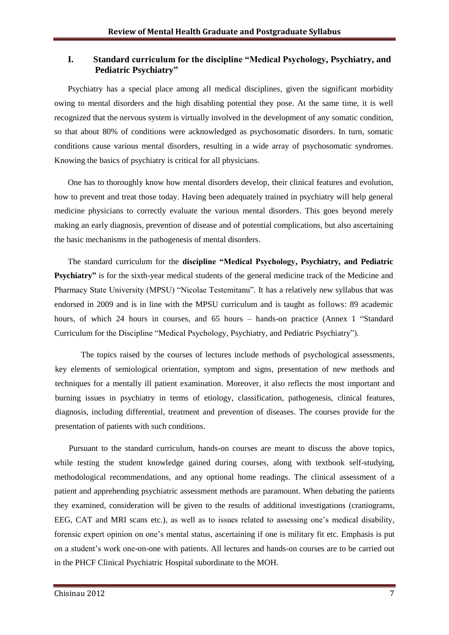#### **I. Standard curriculum for the discipline "Medical Psychology, Psychiatry, and Pediatric Psychiatry"**

Psychiatry has a special place among all medical disciplines, given the significant morbidity owing to mental disorders and the high disabling potential they pose. At the same time, it is well recognized that the nervous system is virtually involved in the development of any somatic condition, so that about 80% of conditions were acknowledged as psychosomatic disorders. In turn, somatic conditions cause various mental disorders, resulting in a wide array of psychosomatic syndromes. Knowing the basics of psychiatry is critical for all physicians.

One has to thoroughly know how mental disorders develop, their clinical features and evolution, how to prevent and treat those today. Having been adequately trained in psychiatry will help general medicine physicians to correctly evaluate the various mental disorders. This goes beyond merely making an early diagnosis, prevention of disease and of potential complications, but also ascertaining the basic mechanisms in the pathogenesis of mental disorders.

The standard curriculum for the **discipline "Medical Psychology, Psychiatry, and Pediatric Psychiatry"** is for the sixth-year medical students of the general medicine track of the Medicine and Pharmacy State University (MPSU) "Nicolae Testemitanu". It has a relatively new syllabus that was endorsed in 2009 and is in line with the MPSU curriculum and is taught as follows: 89 academic hours, of which 24 hours in courses, and 65 hours – hands-on practice (Annex 1 "Standard Curriculum for the Discipline "Medical Psychology, Psychiatry, and Pediatric Psychiatry").

The topics raised by the courses of lectures include methods of psychological assessments, key elements of semiological orientation, symptom and signs, presentation of new methods and techniques for a mentally ill patient examination. Moreover, it also reflects the most important and burning issues in psychiatry in terms of etiology, classification, pathogenesis, clinical features, diagnosis, including differential, treatment and prevention of diseases. The courses provide for the presentation of patients with such conditions.

 Pursuant to the standard curriculum, hands-on courses are meant to discuss the above topics, while testing the student knowledge gained during courses, along with textbook self-studying, methodological recommendations, and any optional home readings. The clinical assessment of a patient and apprehending psychiatric assessment methods are paramount. When debating the patients they examined, consideration will be given to the results of additional investigations (craniograms, EEG, CAT and MRI scans etc.), as well as to issues related to assessing one"s medical disability, forensic expert opinion on one"s mental status, ascertaining if one is military fit etc. Emphasis is put on a student"s work one-on-one with patients. All lectures and hands-on courses are to be carried out in the PHCF Clinical Psychiatric Hospital subordinate to the MOH.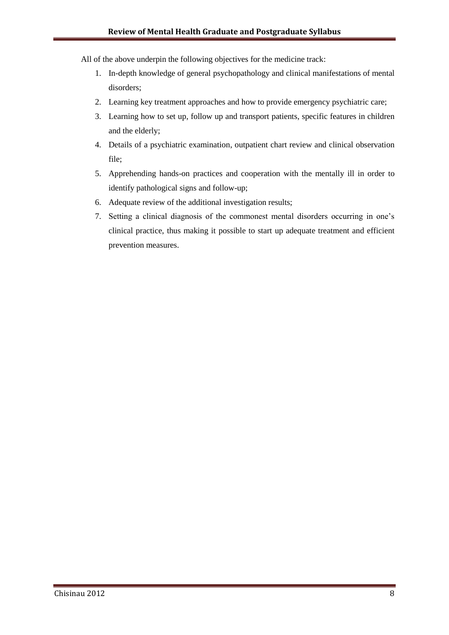- All of the above underpin the following objectives for the medicine track:
	- 1. In-depth knowledge of general psychopathology and clinical manifestations of mental disorders;
	- 2. Learning key treatment approaches and how to provide emergency psychiatric care;
	- 3. Learning how to set up, follow up and transport patients, specific features in children and the elderly;
	- 4. Details of a psychiatric examination, outpatient chart review and clinical observation file;
	- 5. Apprehending hands-on practices and cooperation with the mentally ill in order to identify pathological signs and follow-up;
	- 6. Adequate review of the additional investigation results;
	- 7. Setting a clinical diagnosis of the commonest mental disorders occurring in one"s clinical practice, thus making it possible to start up adequate treatment and efficient prevention measures.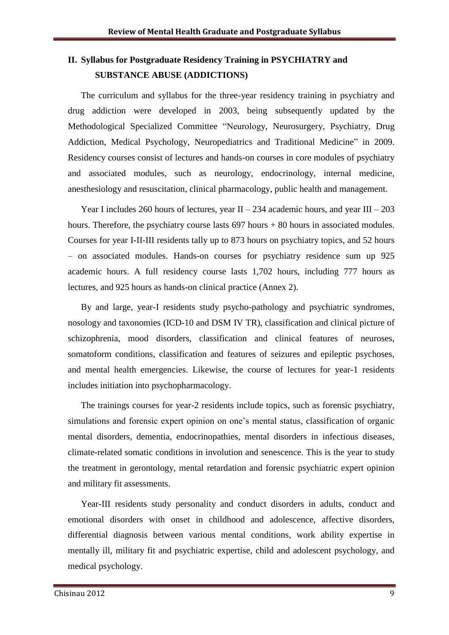# **II. Syllabus for Postgraduate Residency Training in PSYCHIATRY and SUBSTANCE ABUSE (ADDICTIONS)**

The curriculum and syllabus for the three-year residency training in psychiatry and drug addiction were developed in 2003, being subsequently updated by the Methodological Specialized Committee "Neurology, Neurosurgery, Psychiatry, Drug Addiction, Medical Psychology, Neuropediatrics and Traditional Medicine" in 2009. Residency courses consist of lectures and hands-on courses in core modules of psychiatry and associated modules, such as neurology, endocrinology, internal medicine, anesthesiology and resuscitation, clinical pharmacology, public health and management.

Year I includes 260 hours of lectures, year  $II - 234$  academic hours, and year III – 203 hours. Therefore, the psychiatry course lasts  $697$  hours + 80 hours in associated modules. Courses for year I-II-III residents tally up to 873 hours on psychiatry topics, and 52 hours – on associated modules. Hands-on courses for psychiatry residence sum up 925 academic hours. A full residency course lasts 1,702 hours, including 777 hours as lectures, and 925 hours as hands-on clinical practice (Annex 2).

By and large, year-I residents study psycho-pathology and psychiatric syndromes, nosology and taxonomies (ICD-10 and DSM IV TR), classification and clinical picture of schizophrenia, mood disorders, classification and clinical features of neuroses, somatoform conditions, classification and features of seizures and epileptic psychoses, and mental health emergencies. Likewise, the course of lectures for year-1 residents includes initiation into psychopharmacology.

The trainings courses for year-2 residents include topics, such as forensic psychiatry, simulations and forensic expert opinion on one"s mental status, classification of organic mental disorders, dementia, endocrinopathies, mental disorders in infectious diseases, climate-related somatic conditions in involution and senescence. This is the year to study the treatment in gerontology, mental retardation and forensic psychiatric expert opinion and military fit assessments.

Year-III residents study personality and conduct disorders in adults, conduct and emotional disorders with onset in childhood and adolescence, affective disorders, differential diagnosis between various mental conditions, work ability expertise in mentally ill, military fit and psychiatric expertise, child and adolescent psychology, and medical psychology.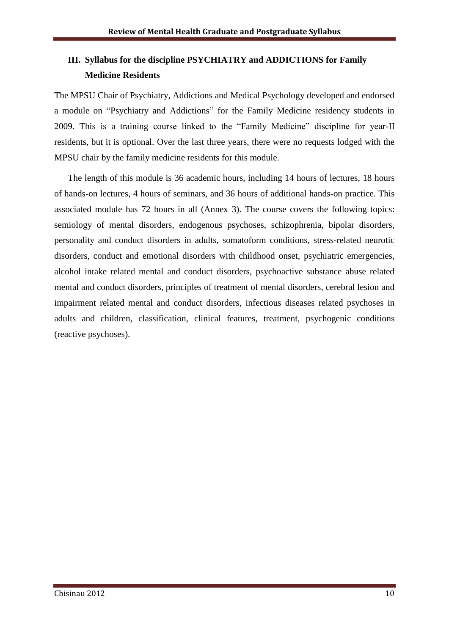# **III. Syllabus for the discipline PSYCHIATRY and ADDICTIONS for Family Medicine Residents**

The MPSU Chair of Psychiatry, Addictions and Medical Psychology developed and endorsed a module on "Psychiatry and Addictions" for the Family Medicine residency students in 2009. This is a training course linked to the "Family Medicine" discipline for year-II residents, but it is optional. Over the last three years, there were no requests lodged with the MPSU chair by the family medicine residents for this module.

The length of this module is 36 academic hours, including 14 hours of lectures, 18 hours of hands-on lectures, 4 hours of seminars, and 36 hours of additional hands-on practice. This associated module has 72 hours in all (Annex 3). The course covers the following topics: semiology of mental disorders, endogenous psychoses, schizophrenia, bipolar disorders, personality and conduct disorders in adults, somatoform conditions, stress-related neurotic disorders, conduct and emotional disorders with childhood onset, psychiatric emergencies, alcohol intake related mental and conduct disorders, psychoactive substance abuse related mental and conduct disorders, principles of treatment of mental disorders, cerebral lesion and impairment related mental and conduct disorders, infectious diseases related psychoses in adults and children, classification, clinical features, treatment, psychogenic conditions (reactive psychoses).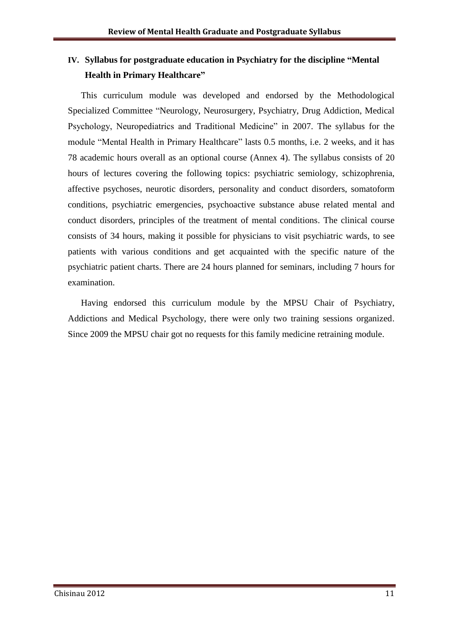# **IV. Syllabus for postgraduate education in Psychiatry for the discipline "Mental Health in Primary Healthcare"**

This curriculum module was developed and endorsed by the Methodological Specialized Committee "Neurology, Neurosurgery, Psychiatry, Drug Addiction, Medical Psychology, Neuropediatrics and Traditional Medicine" in 2007. The syllabus for the module "Mental Health in Primary Healthcare" lasts 0.5 months, i.e. 2 weeks, and it has 78 academic hours overall as an optional course (Annex 4). The syllabus consists of 20 hours of lectures covering the following topics: psychiatric semiology, schizophrenia, affective psychoses, neurotic disorders, personality and conduct disorders, somatoform conditions, psychiatric emergencies, psychoactive substance abuse related mental and conduct disorders, principles of the treatment of mental conditions. The clinical course consists of 34 hours, making it possible for physicians to visit psychiatric wards, to see patients with various conditions and get acquainted with the specific nature of the psychiatric patient charts. There are 24 hours planned for seminars, including 7 hours for examination.

Having endorsed this curriculum module by the MPSU Chair of Psychiatry, Addictions and Medical Psychology, there were only two training sessions organized. Since 2009 the MPSU chair got no requests for this family medicine retraining module.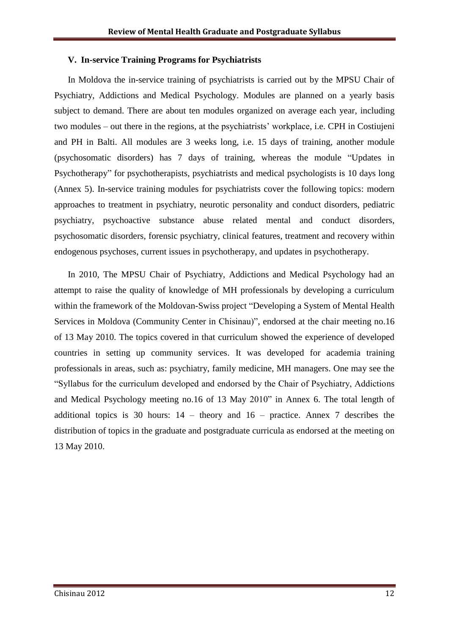#### **V. In-service Training Programs for Psychiatrists**

In Moldova the in-service training of psychiatrists is carried out by the MPSU Chair of Psychiatry, Addictions and Medical Psychology. Modules are planned on a yearly basis subject to demand. There are about ten modules organized on average each year, including two modules – out there in the regions, at the psychiatrists' workplace, i.e. CPH in Costiujeni and PH in Balti. All modules are 3 weeks long, i.e. 15 days of training, another module (psychosomatic disorders) has 7 days of training, whereas the module "Updates in Psychotherapy" for psychotherapists, psychiatrists and medical psychologists is 10 days long (Annex 5). In-service training modules for psychiatrists cover the following topics: modern approaches to treatment in psychiatry, neurotic personality and conduct disorders, pediatric psychiatry, psychoactive substance abuse related mental and conduct disorders, psychosomatic disorders, forensic psychiatry, clinical features, treatment and recovery within endogenous psychoses, current issues in psychotherapy, and updates in psychotherapy.

In 2010, The MPSU Chair of Psychiatry, Addictions and Medical Psychology had an attempt to raise the quality of knowledge of MH professionals by developing a curriculum within the framework of the Moldovan-Swiss project "Developing a System of Mental Health Services in Moldova (Community Center in Chisinau)", endorsed at the chair meeting no.16 of 13 May 2010. The topics covered in that curriculum showed the experience of developed countries in setting up community services. It was developed for academia training professionals in areas, such as: psychiatry, family medicine, MH managers. One may see the "Syllabus for the curriculum developed and endorsed by the Chair of Psychiatry, Addictions and Medical Psychology meeting no.16 of 13 May 2010" in Annex 6. The total length of additional topics is 30 hours:  $14$  – theory and  $16$  – practice. Annex 7 describes the distribution of topics in the graduate and postgraduate curricula as endorsed at the meeting on 13 May 2010.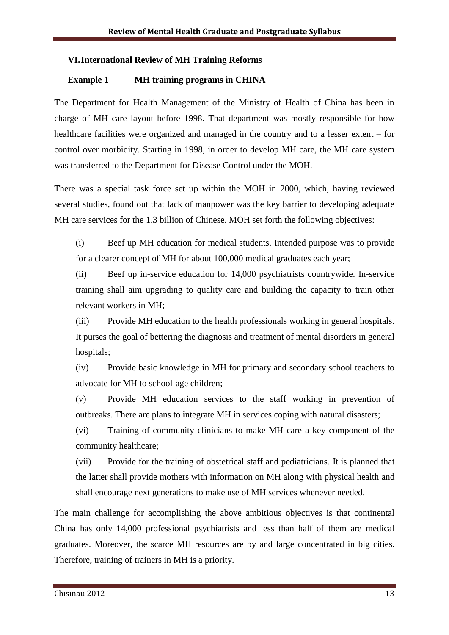#### **VI.International Review of MH Training Reforms**

#### **Example 1 MH training programs in CHINA**

The Department for Health Management of the Ministry of Health of China has been in charge of MH care layout before 1998. That department was mostly responsible for how healthcare facilities were organized and managed in the country and to a lesser extent – for control over morbidity. Starting in 1998, in order to develop MH care, the MH care system was transferred to the Department for Disease Control under the MOH.

There was a special task force set up within the MOH in 2000, which, having reviewed several studies, found out that lack of manpower was the key barrier to developing adequate MH care services for the 1.3 billion of Chinese. MOH set forth the following objectives:

(i) Beef up MH education for medical students. Intended purpose was to provide for a clearer concept of MH for about 100,000 medical graduates each year;

(ii) Beef up in-service education for 14,000 psychiatrists countrywide. In-service training shall aim upgrading to quality care and building the capacity to train other relevant workers in MH;

(iii) Provide MH education to the health professionals working in general hospitals. It purses the goal of bettering the diagnosis and treatment of mental disorders in general hospitals;

(iv) Provide basic knowledge in MH for primary and secondary school teachers to advocate for MH to school-age children;

(v) Provide MH education services to the staff working in prevention of outbreaks. There are plans to integrate MH in services coping with natural disasters;

(vi) Training of community clinicians to make MH care a key component of the community healthcare;

(vii) Provide for the training of obstetrical staff and pediatricians. It is planned that the latter shall provide mothers with information on MH along with physical health and shall encourage next generations to make use of MH services whenever needed.

The main challenge for accomplishing the above ambitious objectives is that continental China has only 14,000 professional psychiatrists and less than half of them are medical graduates. Moreover, the scarce MH resources are by and large concentrated in big cities. Therefore, training of trainers in MH is a priority.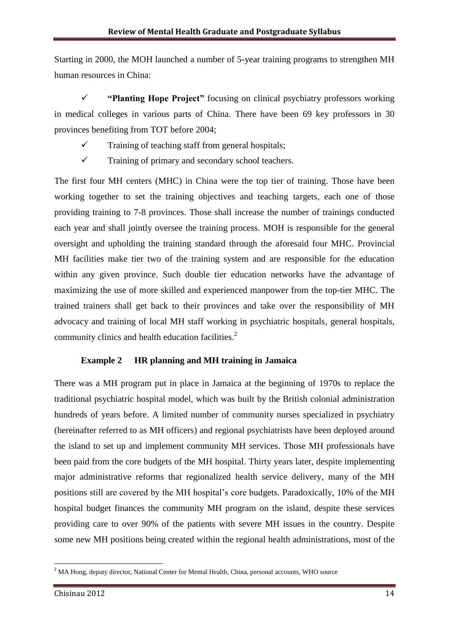Starting in 2000, the MOH launched a number of 5-year training programs to strengthen MH human resources in China:

 **"Planting Hope Project"** focusing on clinical psychiatry professors working in medical colleges in various parts of China. There have been 69 key professors in 30 provinces benefiting from TOT before 2004;

- $\checkmark$  Training of teaching staff from general hospitals;
- $\checkmark$  Training of primary and secondary school teachers.

The first four MH centers (MHC) in China were the top tier of training. Those have been working together to set the training objectives and teaching targets, each one of those providing training to 7-8 provinces. Those shall increase the number of trainings conducted each year and shall jointly oversee the training process. MOH is responsible for the general oversight and upholding the training standard through the aforesaid four MHC. Provincial MH facilities make tier two of the training system and are responsible for the education within any given province. Such double tier education networks have the advantage of maximizing the use of more skilled and experienced manpower from the top-tier MHC. The trained trainers shall get back to their provinces and take over the responsibility of MH advocacy and training of local MH staff working in psychiatric hospitals, general hospitals, community clinics and health education facilities. 2

#### **Example 2 HR planning and MH training in Jamaica**

There was a MH program put in place in Jamaica at the beginning of 1970s to replace the traditional psychiatric hospital model, which was built by the British colonial administration hundreds of years before. A limited number of community nurses specialized in psychiatry (hereinafter referred to as MH officers) and regional psychiatrists have been deployed around the island to set up and implement community MH services. Those MH professionals have been paid from the core budgets of the MH hospital. Thirty years later, despite implementing major administrative reforms that regionalized health service delivery, many of the MH positions still are covered by the MH hospital"s core budgets. Paradoxically, 10% of the MH hospital budget finances the community MH program on the island, despite these services providing care to over 90% of the patients with severe MH issues in the country. Despite some new MH positions being created within the regional health administrations, most of the

**.** 

<sup>&</sup>lt;sup>2</sup> MA Hong, deputy director, National Center for Mental Health, China, personal accounts, WHO source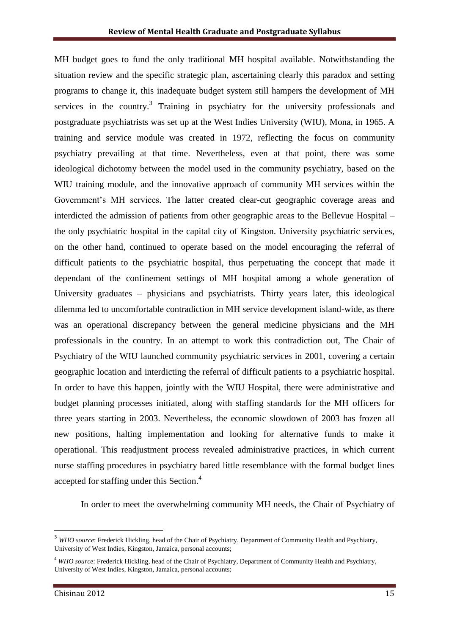MH budget goes to fund the only traditional MH hospital available. Notwithstanding the situation review and the specific strategic plan, ascertaining clearly this paradox and setting programs to change it, this inadequate budget system still hampers the development of MH services in the country.<sup>3</sup> Training in psychiatry for the university professionals and postgraduate psychiatrists was set up at the West Indies University (WIU), Mona, in 1965. A training and service module was created in 1972, reflecting the focus on community psychiatry prevailing at that time. Nevertheless, even at that point, there was some ideological dichotomy between the model used in the community psychiatry, based on the WIU training module, and the innovative approach of community MH services within the Government's MH services. The latter created clear-cut geographic coverage areas and interdicted the admission of patients from other geographic areas to the Bellevue Hospital – the only psychiatric hospital in the capital city of Kingston. University psychiatric services, on the other hand, continued to operate based on the model encouraging the referral of difficult patients to the psychiatric hospital, thus perpetuating the concept that made it dependant of the confinement settings of MH hospital among a whole generation of University graduates – physicians and psychiatrists. Thirty years later, this ideological dilemma led to uncomfortable contradiction in MH service development island-wide, as there was an operational discrepancy between the general medicine physicians and the MH professionals in the country. In an attempt to work this contradiction out, The Chair of Psychiatry of the WIU launched community psychiatric services in 2001, covering a certain geographic location and interdicting the referral of difficult patients to a psychiatric hospital. In order to have this happen, jointly with the WIU Hospital, there were administrative and budget planning processes initiated, along with staffing standards for the MH officers for three years starting in 2003. Nevertheless, the economic slowdown of 2003 has frozen all new positions, halting implementation and looking for alternative funds to make it operational. This readjustment process revealed administrative practices, in which current nurse staffing procedures in psychiatry bared little resemblance with the formal budget lines accepted for staffing under this Section.<sup>4</sup>

In order to meet the overwhelming community MH needs, the Chair of Psychiatry of

 $\overline{a}$ 

<sup>&</sup>lt;sup>3</sup> *WHO source*: Frederick Hickling, head of the Chair of Psychiatry, Department of Community Health and Psychiatry, University of West Indies, Kingston, Jamaica, personal accounts;

<sup>4</sup> *WHO source*: Frederick Hickling, head of the Chair of Psychiatry, Department of Community Health and Psychiatry, University of West Indies, Kingston, Jamaica, personal accounts;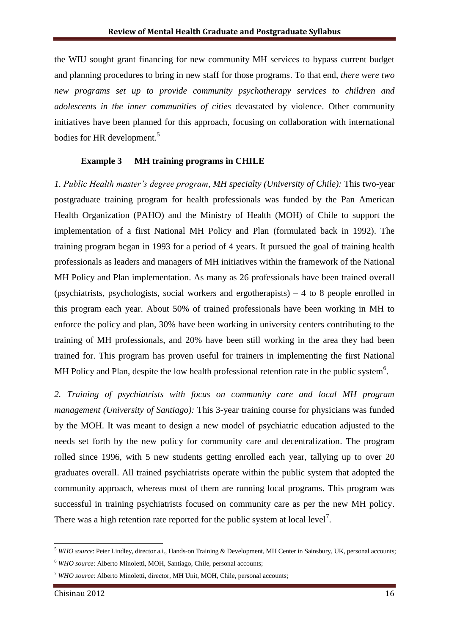the WIU sought grant financing for new community MH services to bypass current budget and planning procedures to bring in new staff for those programs. To that end, *there were two new programs set up to provide community psychotherapy services to children and adolescents in the inner communities of cities* devastated by violence. Other community initiatives have been planned for this approach, focusing on collaboration with international bodies for HR development.<sup>5</sup>

#### **Example 3 MH training programs in CHILE**

*1. Public Health master's degree program, MH specialty (University of Chile):* This two-year postgraduate training program for health professionals was funded by the Pan American Health Organization (PAHO) and the Ministry of Health (MOH) of Chile to support the implementation of a first National MH Policy and Plan (formulated back in 1992). The training program began in 1993 for a period of 4 years. It pursued the goal of training health professionals as leaders and managers of MH initiatives within the framework of the National MH Policy and Plan implementation. As many as 26 professionals have been trained overall (psychiatrists, psychologists, social workers and ergotherapists) – 4 to 8 people enrolled in this program each year. About 50% of trained professionals have been working in MH to enforce the policy and plan, 30% have been working in university centers contributing to the training of MH professionals, and 20% have been still working in the area they had been trained for. This program has proven useful for trainers in implementing the first National MH Policy and Plan, despite the low health professional retention rate in the public system<sup>6</sup>.

*2. Training of psychiatrists with focus on community care and local MH program management (University of Santiago):* This 3-year training course for physicians was funded by the MOH. It was meant to design a new model of psychiatric education adjusted to the needs set forth by the new policy for community care and decentralization. The program rolled since 1996, with 5 new students getting enrolled each year, tallying up to over 20 graduates overall. All trained psychiatrists operate within the public system that adopted the community approach, whereas most of them are running local programs. This program was successful in training psychiatrists focused on community care as per the new MH policy. There was a high retention rate reported for the public system at local level<sup>7</sup>.

1

<sup>5</sup> *WHO source*: Peter Lindley, director a.i., Hands-on Training & Development, MH Center in Sainsbury, UK, personal accounts;

<sup>6</sup> *WHO source*: Alberto Minoletti, MOH, Santiago, Chile, personal accounts;

<sup>7</sup> *WHO source*: Alberto Minoletti, director, MH Unit, MOH, Chile, personal accounts;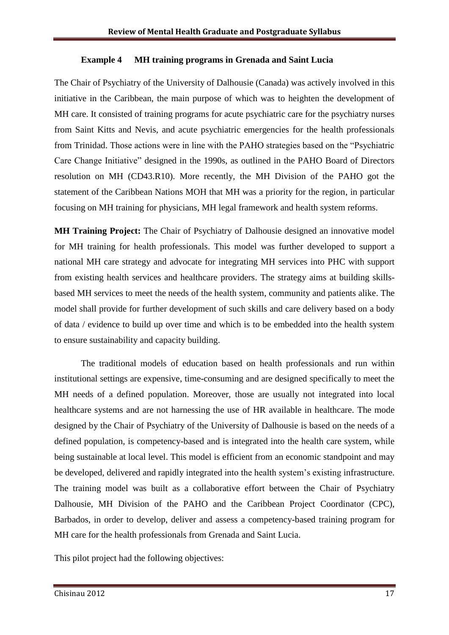#### **Example 4 MH training programs in Grenada and Saint Lucia**

The Chair of Psychiatry of the University of Dalhousie (Canada) was actively involved in this initiative in the Caribbean, the main purpose of which was to heighten the development of MH care. It consisted of training programs for acute psychiatric care for the psychiatry nurses from Saint Kitts and Nevis, and acute psychiatric emergencies for the health professionals from Trinidad. Those actions were in line with the PAHO strategies based on the "Psychiatric Care Change Initiative" designed in the 1990s, as outlined in the PAHO Board of Directors resolution on MH (CD43.R10). More recently, the MH Division of the PAHO got the statement of the Caribbean Nations MOH that MH was a priority for the region, in particular focusing on MH training for physicians, MH legal framework and health system reforms.

**MH Training Project:** The Chair of Psychiatry of Dalhousie designed an innovative model for MH training for health professionals. This model was further developed to support a national MH care strategy and advocate for integrating MH services into PHC with support from existing health services and healthcare providers. The strategy aims at building skillsbased MH services to meet the needs of the health system, community and patients alike. The model shall provide for further development of such skills and care delivery based on a body of data / evidence to build up over time and which is to be embedded into the health system to ensure sustainability and capacity building.

The traditional models of education based on health professionals and run within institutional settings are expensive, time-consuming and are designed specifically to meet the MH needs of a defined population. Moreover, those are usually not integrated into local healthcare systems and are not harnessing the use of HR available in healthcare. The mode designed by the Chair of Psychiatry of the University of Dalhousie is based on the needs of a defined population, is competency-based and is integrated into the health care system, while being sustainable at local level. This model is efficient from an economic standpoint and may be developed, delivered and rapidly integrated into the health system"s existing infrastructure. The training model was built as a collaborative effort between the Chair of Psychiatry Dalhousie, MH Division of the PAHO and the Caribbean Project Coordinator (CPC), Barbados, in order to develop, deliver and assess a competency-based training program for MH care for the health professionals from Grenada and Saint Lucia.

This pilot project had the following objectives: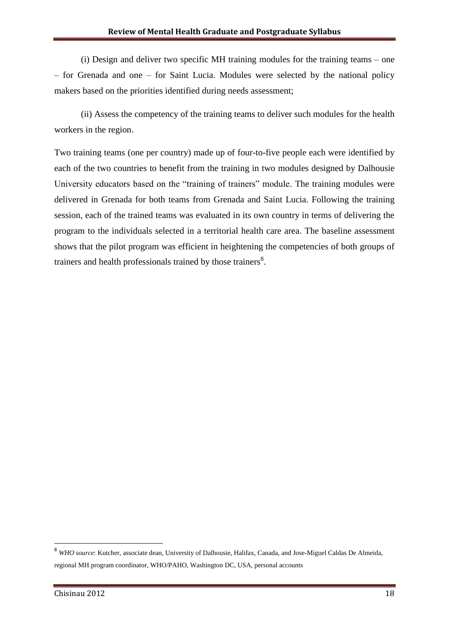(i) Design and deliver two specific MH training modules for the training teams – one – for Grenada and one – for Saint Lucia. Modules were selected by the national policy makers based on the priorities identified during needs assessment;

(ii) Assess the competency of the training teams to deliver such modules for the health workers in the region.

Two training teams (one per country) made up of four-to-five people each were identified by each of the two countries to benefit from the training in two modules designed by Dalhousie University educators based on the "training of trainers" module. The training modules were delivered in Grenada for both teams from Grenada and Saint Lucia. Following the training session, each of the trained teams was evaluated in its own country in terms of delivering the program to the individuals selected in a territorial health care area. The baseline assessment shows that the pilot program was efficient in heightening the competencies of both groups of trainers and health professionals trained by those trainers $8$ .

**.** 

<sup>8</sup> *WHO source*: Kutcher, associate dean, University of Dalhousie, Halifax, Canada, and Jose-Miguel Caldas De Almeida, regional MH program coordinator, WHO/PAHO, Washington DC, USA, personal accounts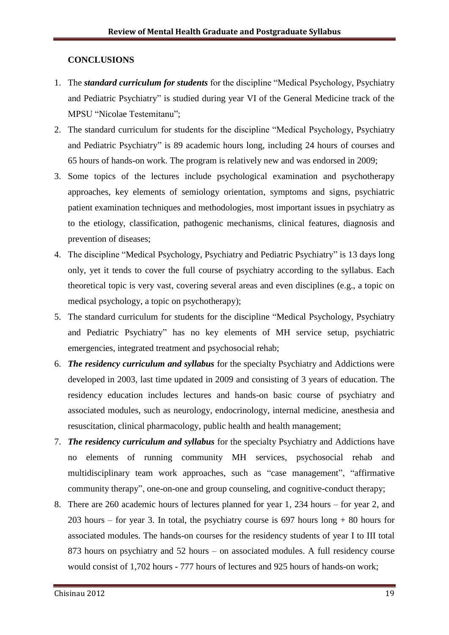#### **CONCLUSIONS**

- 1. The *standard curriculum for students* for the discipline "Medical Psychology, Psychiatry and Pediatric Psychiatry" is studied during year VI of the General Medicine track of the MPSU "Nicolae Testemitanu";
- 2. The standard curriculum for students for the discipline "Medical Psychology, Psychiatry and Pediatric Psychiatry" is 89 academic hours long, including 24 hours of courses and 65 hours of hands-on work. The program is relatively new and was endorsed in 2009;
- 3. Some topics of the lectures include psychological examination and psychotherapy approaches, key elements of semiology orientation, symptoms and signs, psychiatric patient examination techniques and methodologies, most important issues in psychiatry as to the etiology, classification, pathogenic mechanisms, clinical features, diagnosis and prevention of diseases;
- 4. The discipline "Medical Psychology, Psychiatry and Pediatric Psychiatry" is 13 days long only, yet it tends to cover the full course of psychiatry according to the syllabus. Each theoretical topic is very vast, covering several areas and even disciplines (e.g., a topic on medical psychology, a topic on psychotherapy);
- 5. The standard curriculum for students for the discipline "Medical Psychology, Psychiatry and Pediatric Psychiatry" has no key elements of MH service setup, psychiatric emergencies, integrated treatment and psychosocial rehab;
- 6. *The residency curriculum and syllabus* for the specialty Psychiatry and Addictions were developed in 2003, last time updated in 2009 and consisting of 3 years of education. The residency education includes lectures and hands-on basic course of psychiatry and associated modules, such as neurology, endocrinology, internal medicine, anesthesia and resuscitation, clinical pharmacology, public health and health management;
- 7. *The residency curriculum and syllabus* for the specialty Psychiatry and Addictions have no elements of running community MH services, psychosocial rehab and multidisciplinary team work approaches, such as "case management", "affirmative community therapy", one-on-one and group counseling, and cognitive-conduct therapy;
- 8. There are 260 academic hours of lectures planned for year 1, 234 hours for year 2, and 203 hours – for year 3. In total, the psychiatry course is  $697$  hours long  $+80$  hours for associated modules. The hands-on courses for the residency students of year I to III total 873 hours on psychiatry and 52 hours – on associated modules. A full residency course would consist of 1,702 hours - 777 hours of lectures and 925 hours of hands-on work;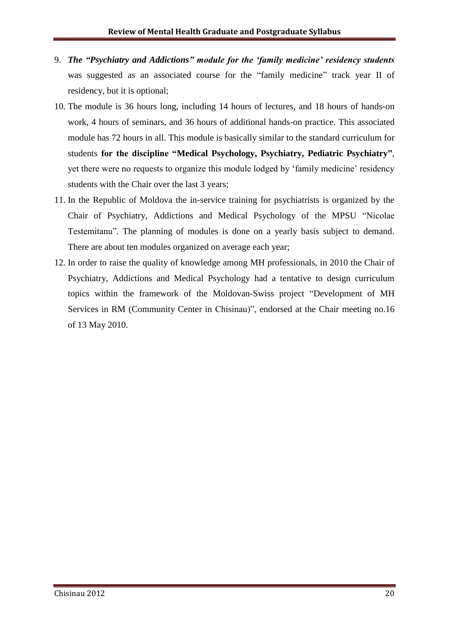- 9. *The "Psychiatry and Addictions" module for the "family medicine" residency students*  was suggested as an associated course for the "family medicine" track year II of residency, but it is optional;
- 10. The module is 36 hours long, including 14 hours of lectures, and 18 hours of hands-on work, 4 hours of seminars, and 36 hours of additional hands-on practice. This associated module has 72 hours in all. This module is basically similar to the standard curriculum for students **for the discipline "Medical Psychology, Psychiatry, Pediatric Psychiatry"**, yet there were no requests to organize this module lodged by 'family medicine' residency students with the Chair over the last 3 years;
- 11. In the Republic of Moldova the in-service training for psychiatrists is organized by the Chair of Psychiatry, Addictions and Medical Psychology of the MPSU "Nicolae Testemitanu". The planning of modules is done on a yearly basis subject to demand. There are about ten modules organized on average each year;
- 12. In order to raise the quality of knowledge among MH professionals, in 2010 the Chair of Psychiatry, Addictions and Medical Psychology had a tentative to design curriculum topics within the framework of the Moldovan-Swiss project "Development of MH Services in RM (Community Center in Chisinau)", endorsed at the Chair meeting no.16 of 13 May 2010.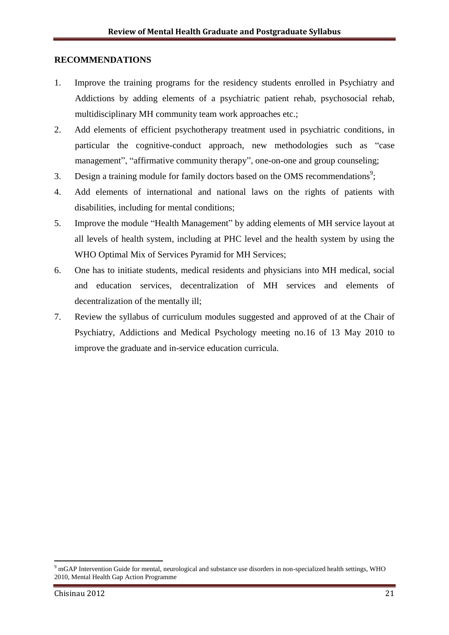#### **RECOMMENDATIONS**

- 1. Improve the training programs for the residency students enrolled in Psychiatry and Addictions by adding elements of a psychiatric patient rehab, psychosocial rehab, multidisciplinary MH community team work approaches etc.;
- 2. Add elements of efficient psychotherapy treatment used in psychiatric conditions, in particular the cognitive-conduct approach, new methodologies such as "case management", "affirmative community therapy", one-on-one and group counseling;
- 3. Design a training module for family doctors based on the OMS recommendations<sup>9</sup>;
- 4. Add elements of international and national laws on the rights of patients with disabilities, including for mental conditions;
- 5. Improve the module "Health Management" by adding elements of MH service layout at all levels of health system, including at PHC level and the health system by using the WHO Optimal Mix of Services Pyramid for MH Services;
- 6. One has to initiate students, medical residents and physicians into MH medical, social and education services, decentralization of MH services and elements of decentralization of the mentally ill;
- 7. Review the syllabus of curriculum modules suggested and approved of at the Chair of Psychiatry, Addictions and Medical Psychology meeting no.16 of 13 May 2010 to improve the graduate and in-service education curricula.

**.** 

 $9 \text{ mGAP}$  Intervention Guide for mental, neurological and substance use disorders in non-specialized health settings, WHO 2010, Mental Health Gap Action Programme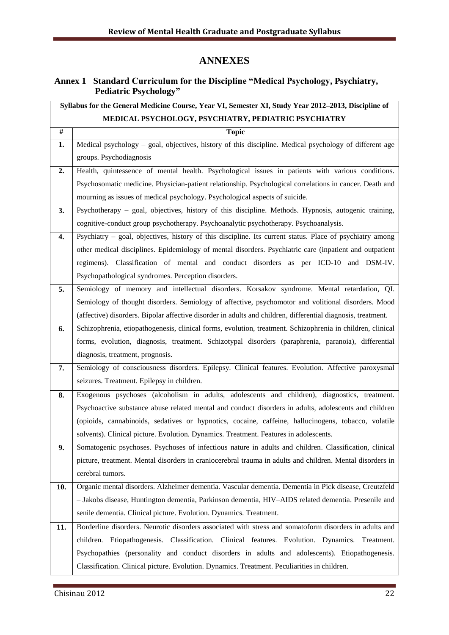# **ANNEXES**

# **Annex 1 Standard Curriculum for the Discipline "Medical Psychology, Psychiatry, Pediatric Psychology"**

| Syllabus for the General Medicine Course, Year VI, Semester XI, Study Year 2012-2013, Discipline of |                                                                                                              |  |  |
|-----------------------------------------------------------------------------------------------------|--------------------------------------------------------------------------------------------------------------|--|--|
|                                                                                                     | MEDICAL PSYCHOLOGY, PSYCHIATRY, PEDIATRIC PSYCHIATRY                                                         |  |  |
| $\overline{t}$                                                                                      | <b>Topic</b>                                                                                                 |  |  |
| 1.                                                                                                  | Medical psychology - goal, objectives, history of this discipline. Medical psychology of different age       |  |  |
|                                                                                                     | groups. Psychodiagnosis                                                                                      |  |  |
| 2.                                                                                                  | Health, quintessence of mental health. Psychological issues in patients with various conditions.             |  |  |
|                                                                                                     | Psychosomatic medicine. Physician-patient relationship. Psychological correlations in cancer. Death and      |  |  |
|                                                                                                     | mourning as issues of medical psychology. Psychological aspects of suicide.                                  |  |  |
| 3.                                                                                                  | Psychotherapy – goal, objectives, history of this discipline. Methods. Hypnosis, autogenic training,         |  |  |
|                                                                                                     | cognitive-conduct group psychotherapy. Psychoanalytic psychotherapy. Psychoanalysis.                         |  |  |
| 4.                                                                                                  | Psychiatry – goal, objectives, history of this discipline. Its current status. Place of psychiatry among     |  |  |
|                                                                                                     | other medical disciplines. Epidemiology of mental disorders. Psychiatric care (inpatient and outpatient      |  |  |
|                                                                                                     | regimens). Classification of mental and conduct disorders as per ICD-10 and DSM-IV.                          |  |  |
|                                                                                                     | Psychopathological syndromes. Perception disorders.                                                          |  |  |
| 5.                                                                                                  | Semiology of memory and intellectual disorders. Korsakov syndrome. Mental retardation, QI.                   |  |  |
|                                                                                                     | Semiology of thought disorders. Semiology of affective, psychomotor and volitional disorders. Mood           |  |  |
|                                                                                                     | (affective) disorders. Bipolar affective disorder in adults and children, differential diagnosis, treatment. |  |  |
| 6.                                                                                                  | Schizophrenia, etiopathogenesis, clinical forms, evolution, treatment. Schizophrenia in children, clinical   |  |  |
|                                                                                                     | forms, evolution, diagnosis, treatment. Schizotypal disorders (paraphrenia, paranoia), differential          |  |  |
|                                                                                                     | diagnosis, treatment, prognosis.                                                                             |  |  |
| 7.                                                                                                  | Semiology of consciousness disorders. Epilepsy. Clinical features. Evolution. Affective paroxysmal           |  |  |
|                                                                                                     | seizures. Treatment. Epilepsy in children.                                                                   |  |  |
| 8.                                                                                                  | Exogenous psychoses (alcoholism in adults, adolescents and children), diagnostics, treatment.                |  |  |
|                                                                                                     | Psychoactive substance abuse related mental and conduct disorders in adults, adolescents and children        |  |  |
|                                                                                                     | (opioids, cannabinoids, sedatives or hypnotics, cocaine, caffeine, hallucinogens, tobacco, volatile          |  |  |
|                                                                                                     | solvents). Clinical picture. Evolution. Dynamics. Treatment. Features in adolescents.                        |  |  |
| 9.                                                                                                  | Somatogenic psychoses. Psychoses of infectious nature in adults and children. Classification, clinical       |  |  |
|                                                                                                     | picture, treatment. Mental disorders in craniocerebral trauma in adults and children. Mental disorders in    |  |  |
|                                                                                                     | cerebral tumors.                                                                                             |  |  |
| 10.                                                                                                 | Organic mental disorders. Alzheimer dementia. Vascular dementia. Dementia in Pick disease, Creutzfeld        |  |  |
|                                                                                                     | - Jakobs disease, Huntington dementia, Parkinson dementia, HIV-AIDS related dementia. Presenile and          |  |  |
|                                                                                                     | senile dementia. Clinical picture. Evolution. Dynamics. Treatment.                                           |  |  |
| 11.                                                                                                 | Borderline disorders. Neurotic disorders associated with stress and somatoform disorders in adults and       |  |  |
|                                                                                                     | children. Etiopathogenesis. Classification. Clinical features. Evolution. Dynamics. Treatment.               |  |  |
|                                                                                                     | Psychopathies (personality and conduct disorders in adults and adolescents). Etiopathogenesis.               |  |  |
|                                                                                                     | Classification. Clinical picture. Evolution. Dynamics. Treatment. Peculiarities in children.                 |  |  |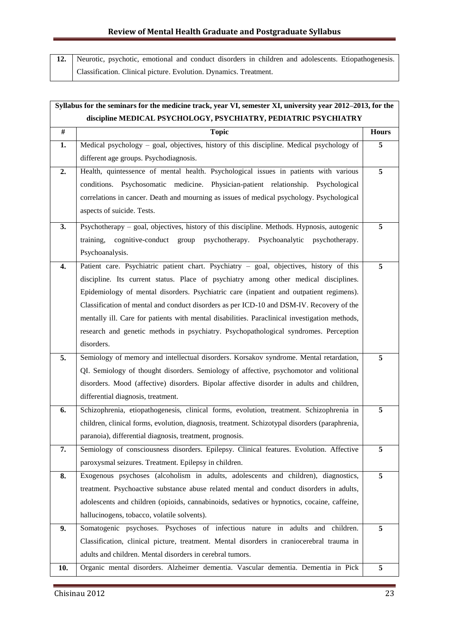12. Neurotic, psychotic, emotional and conduct disorders in children and adolescents. Etiopathogenesis. Classification. Clinical picture. Evolution. Dynamics. Treatment.

| Syllabus for the seminars for the medicine track, year VI, semester XI, university year 2012–2013, for the |                                                                                                |              |  |
|------------------------------------------------------------------------------------------------------------|------------------------------------------------------------------------------------------------|--------------|--|
|                                                                                                            | discipline MEDICAL PSYCHOLOGY, PSYCHIATRY, PEDIATRIC PSYCHIATRY                                |              |  |
| $\#$                                                                                                       | <b>Topic</b>                                                                                   | <b>Hours</b> |  |
| 1.                                                                                                         | Medical psychology - goal, objectives, history of this discipline. Medical psychology of       | 5            |  |
|                                                                                                            | different age groups. Psychodiagnosis.                                                         |              |  |
| 2.                                                                                                         | Health, quintessence of mental health. Psychological issues in patients with various           | 5            |  |
|                                                                                                            | conditions. Psychosomatic medicine. Physician-patient relationship. Psychological              |              |  |
|                                                                                                            | correlations in cancer. Death and mourning as issues of medical psychology. Psychological      |              |  |
|                                                                                                            | aspects of suicide. Tests.                                                                     |              |  |
| 3.                                                                                                         | Psychotherapy – goal, objectives, history of this discipline. Methods. Hypnosis, autogenic     | 5            |  |
|                                                                                                            | cognitive-conduct group psychotherapy. Psychoanalytic<br>training,<br>psychotherapy.           |              |  |
|                                                                                                            | Psychoanalysis.                                                                                |              |  |
| 4.                                                                                                         | Patient care. Psychiatric patient chart. Psychiatry - goal, objectives, history of this        | 5            |  |
|                                                                                                            | discipline. Its current status. Place of psychiatry among other medical disciplines.           |              |  |
|                                                                                                            | Epidemiology of mental disorders. Psychiatric care (inpatient and outpatient regimens).        |              |  |
|                                                                                                            | Classification of mental and conduct disorders as per ICD-10 and DSM-IV. Recovery of the       |              |  |
|                                                                                                            | mentally ill. Care for patients with mental disabilities. Paraclinical investigation methods,  |              |  |
|                                                                                                            | research and genetic methods in psychiatry. Psychopathological syndromes. Perception           |              |  |
|                                                                                                            | disorders.                                                                                     |              |  |
| 5.                                                                                                         | Semiology of memory and intellectual disorders. Korsakov syndrome. Mental retardation,         | 5            |  |
|                                                                                                            | QI. Semiology of thought disorders. Semiology of affective, psychomotor and volitional         |              |  |
|                                                                                                            | disorders. Mood (affective) disorders. Bipolar affective disorder in adults and children,      |              |  |
|                                                                                                            | differential diagnosis, treatment.                                                             |              |  |
| 6.                                                                                                         | Schizophrenia, etiopathogenesis, clinical forms, evolution, treatment. Schizophrenia in        | 5            |  |
|                                                                                                            | children, clinical forms, evolution, diagnosis, treatment. Schizotypal disorders (paraphrenia, |              |  |
|                                                                                                            | paranoia), differential diagnosis, treatment, prognosis.                                       |              |  |
| 7.                                                                                                         | Semiology of consciousness disorders. Epilepsy. Clinical features. Evolution. Affective        | 5            |  |
|                                                                                                            | paroxysmal seizures. Treatment. Epilepsy in children.                                          |              |  |
| 8.                                                                                                         | Exogenous psychoses (alcoholism in adults, adolescents and children), diagnostics,             | 5            |  |
|                                                                                                            | treatment. Psychoactive substance abuse related mental and conduct disorders in adults,        |              |  |
|                                                                                                            | adolescents and children (opioids, cannabinoids, sedatives or hypnotics, cocaine, caffeine,    |              |  |
|                                                                                                            | hallucinogens, tobacco, volatile solvents).                                                    |              |  |
| 9.                                                                                                         | Somatogenic psychoses. Psychoses of infectious nature in adults and children.                  | 5            |  |
|                                                                                                            | Classification, clinical picture, treatment. Mental disorders in craniocerebral trauma in      |              |  |
|                                                                                                            | adults and children. Mental disorders in cerebral tumors.                                      |              |  |
| 10.                                                                                                        | Organic mental disorders. Alzheimer dementia. Vascular dementia. Dementia in Pick              | 5            |  |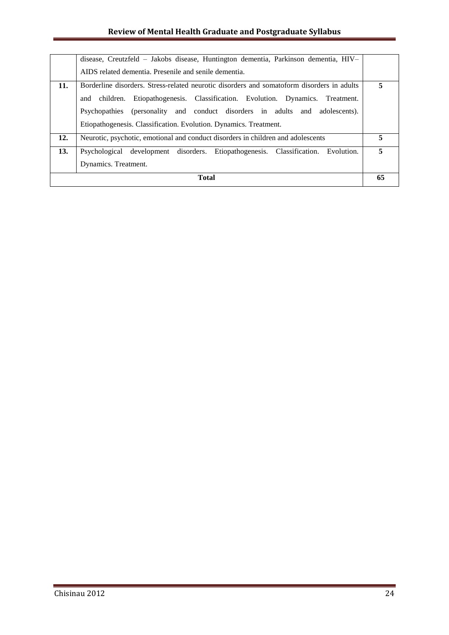# **Review of Mental Health Graduate and Postgraduate Syllabus**

|     | disease, Creutzfeld – Jakobs disease, Huntington dementia, Parkinson dementia, HIV-                                                                                                                                                                                                                                                |    |  |
|-----|------------------------------------------------------------------------------------------------------------------------------------------------------------------------------------------------------------------------------------------------------------------------------------------------------------------------------------|----|--|
|     | AIDS related dementia. Presenile and senile dementia.                                                                                                                                                                                                                                                                              |    |  |
| 11. | Borderline disorders. Stress-related neurotic disorders and somatoform disorders in adults<br>and children. Etiopathogenesis. Classification. Evolution. Dynamics. Treatment.<br>Psychopathies (personality and conduct disorders in adults and adolescents).<br>Etiopathogenesis. Classification. Evolution. Dynamics. Treatment. | 5  |  |
| 12. | Neurotic, psychotic, emotional and conduct disorders in children and adolescents                                                                                                                                                                                                                                                   | 5  |  |
| 13. | Psychological development disorders. Etiopathogenesis. Classification.<br>Evolution.<br>Dynamics. Treatment.                                                                                                                                                                                                                       | 5  |  |
|     | Total                                                                                                                                                                                                                                                                                                                              | 65 |  |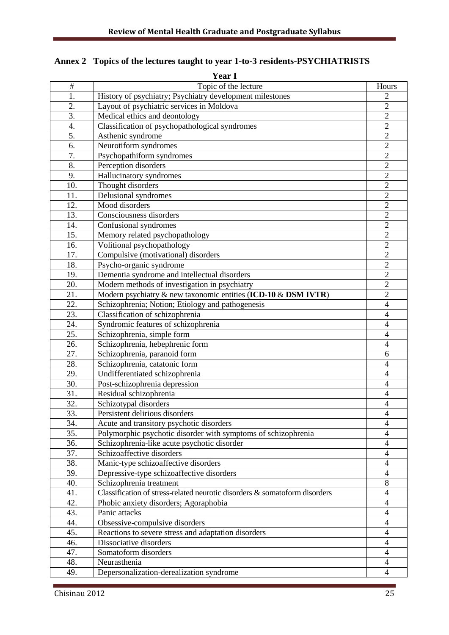| <b>Year I</b>    |                                                                            |                          |  |
|------------------|----------------------------------------------------------------------------|--------------------------|--|
| $\#$             | Topic of the lecture                                                       | Hours                    |  |
| 1.               | History of psychiatry; Psychiatry development milestones                   | $\overline{2}$           |  |
| 2.               | Layout of psychiatric services in Moldova                                  | $\overline{2}$           |  |
| $\overline{3}$ . | Medical ethics and deontology                                              | $\overline{2}$           |  |
| $\overline{4}$ . | Classification of psychopathological syndromes                             | $\overline{2}$           |  |
| 5.               | Asthenic syndrome                                                          | $\overline{2}$           |  |
| 6.               | Neurotiform syndromes                                                      | $\overline{2}$           |  |
| 7.               | Psychopathiform syndromes                                                  | $\overline{c}$           |  |
| 8.               | Perception disorders                                                       | $\overline{2}$           |  |
| 9.               | Hallucinatory syndromes                                                    | $\overline{2}$           |  |
| 10.              | Thought disorders                                                          | $\overline{2}$           |  |
| 11.              | Delusional syndromes                                                       | $\overline{2}$           |  |
| 12.              | Mood disorders                                                             | $\overline{c}$           |  |
| 13.              | Consciousness disorders                                                    | $\overline{2}$           |  |
| 14.              | Confusional syndromes                                                      | $\overline{2}$           |  |
| 15.              | Memory related psychopathology                                             | $\overline{2}$           |  |
| 16.              | Volitional psychopathology                                                 | $\overline{2}$           |  |
| 17.              | Compulsive (motivational) disorders                                        | $\overline{c}$           |  |
| 18.              | Psycho-organic syndrome                                                    | $\overline{2}$           |  |
| 19.              | Dementia syndrome and intellectual disorders                               | $\overline{2}$           |  |
| 20.              | Modern methods of investigation in psychiatry                              | $\overline{2}$           |  |
| 21.              | Modern psychiatry & new taxonomic entities (ICD-10 & DSM IVTR)             | $\overline{c}$           |  |
| 22.              | Schizophrenia; Notion; Etiology and pathogenesis                           | $\overline{\mathcal{L}}$ |  |
| 23.              | Classification of schizophrenia                                            | $\overline{4}$           |  |
| 24.              | Syndromic features of schizophrenia                                        | $\overline{\mathcal{A}}$ |  |
| 25.              | Schizophrenia, simple form                                                 | $\overline{4}$           |  |
| 26.              | Schizophrenia, hebephrenic form                                            | $\overline{\mathcal{L}}$ |  |
| 27.              | Schizophrenia, paranoid form                                               | 6                        |  |
| 28.              | Schizophrenia, catatonic form                                              | $\overline{\mathcal{A}}$ |  |
| 29.              | Undifferentiated schizophrenia                                             | $\overline{\mathcal{L}}$ |  |
| 30.              | Post-schizophrenia depression                                              | $\overline{\mathcal{A}}$ |  |
| 31.              | Residual schizophrenia                                                     | 4                        |  |
| 32.              | Schizotypal disorders                                                      | $\overline{4}$           |  |
| 33.              | Persistent delirious disorders                                             | 4                        |  |
| 34.              | Acute and transitory psychotic disorders                                   | $\overline{\mathcal{L}}$ |  |
| 35.              | Polymorphic psychotic disorder with symptoms of schizophrenia              | $\overline{4}$           |  |
| 36.              | Schizophrenia-like acute psychotic disorder                                | $\overline{\mathcal{L}}$ |  |
| 37.              | Schizoaffective disorders                                                  | $\overline{\mathcal{A}}$ |  |
| 38.              | Manic-type schizoaffective disorders                                       | $\overline{4}$           |  |
| 39.              | Depressive-type schizoaffective disorders                                  | $\overline{4}$           |  |
| 40.              | Schizophrenia treatment                                                    | $\,8\,$                  |  |
| 41.              | Classification of stress-related neurotic disorders & somatoform disorders | 4                        |  |
| 42.              | Phobic anxiety disorders; Agoraphobia                                      | $\overline{\mathcal{L}}$ |  |
| 43.              | Panic attacks                                                              | $\overline{\mathcal{A}}$ |  |
| 44.              | Obsessive-compulsive disorders                                             | $\overline{\mathcal{L}}$ |  |
| 45.              | Reactions to severe stress and adaptation disorders                        | $\overline{4}$           |  |
| 46.              | Dissociative disorders                                                     | $\overline{\mathcal{A}}$ |  |
| 47.              | Somatoform disorders                                                       | $\overline{4}$           |  |
| 48.              | Neurasthenia                                                               | $\overline{4}$           |  |
| 49.              | Depersonalization-derealization syndrome                                   | $\overline{4}$           |  |

# **Annex 2 Topics of the lectures taught to year 1-to-3 residents-PSYCHIATRISTS**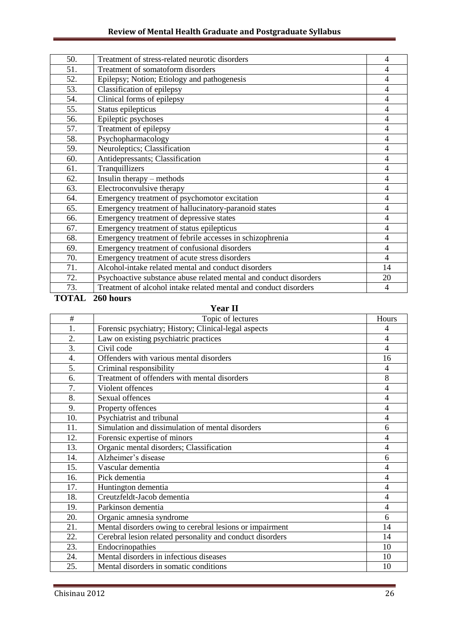| 50. | Treatment of stress-related neurotic disorders                    | $\overline{4}$ |
|-----|-------------------------------------------------------------------|----------------|
| 51. | Treatment of somatoform disorders                                 | $\overline{4}$ |
| 52. | Epilepsy; Notion; Etiology and pathogenesis                       | $\overline{4}$ |
| 53. | Classification of epilepsy                                        | $\overline{4}$ |
| 54. | Clinical forms of epilepsy                                        | $\overline{4}$ |
| 55. | Status epilepticus                                                | $\overline{4}$ |
| 56. | Epileptic psychoses                                               | $\overline{4}$ |
| 57. | Treatment of epilepsy                                             | 4              |
| 58. | Psychopharmacology                                                | $\overline{4}$ |
| 59. | Neuroleptics; Classification                                      | $\overline{4}$ |
| 60. | Antidepressants; Classification                                   | 4              |
| 61. | Tranquillizers                                                    | $\overline{4}$ |
| 62. | Insulin therapy – methods                                         | $\overline{4}$ |
| 63. | Electroconvulsive therapy                                         | $\overline{4}$ |
| 64. | Emergency treatment of psychomotor excitation                     | $\overline{4}$ |
| 65. | Emergency treatment of hallucinatory-paranoid states              | $\overline{4}$ |
| 66. | Emergency treatment of depressive states                          | $\overline{4}$ |
| 67. | Emergency treatment of status epilepticus                         | $\overline{4}$ |
| 68. | Emergency treatment of febrile accesses in schizophrenia          | $\overline{4}$ |
| 69. | Emergency treatment of confusional disorders                      | $\overline{4}$ |
| 70. | Emergency treatment of acute stress disorders                     | $\overline{4}$ |
| 71. | Alcohol-intake related mental and conduct disorders               | 14             |
| 72. | Psychoactive substance abuse related mental and conduct disorders | 20             |
| 73. | Treatment of alcohol intake related mental and conduct disorders  | 4              |

# **TOTAL 260 hours**

# **Year II**

| #   | Topic of lectures                                         | Hours          |
|-----|-----------------------------------------------------------|----------------|
| 1.  | Forensic psychiatry; History; Clinical-legal aspects      | 4              |
| 2.  | Law on existing psychiatric practices                     | $\overline{4}$ |
| 3.  | Civil code                                                | 4              |
| 4.  | Offenders with various mental disorders                   | 16             |
| 5.  | Criminal responsibility                                   | 4              |
| 6.  | Treatment of offenders with mental disorders              | 8              |
| 7.  | Violent offences                                          | 4              |
| 8.  | Sexual offences                                           | 4              |
| 9.  | Property offences                                         | 4              |
| 10. | Psychiatrist and tribunal                                 | 4              |
| 11. | Simulation and dissimulation of mental disorders          | 6              |
| 12. | Forensic expertise of minors                              | $\overline{4}$ |
| 13. | Organic mental disorders; Classification                  | 4              |
| 14. | Alzheimer's disease                                       | 6              |
| 15. | Vascular dementia                                         | 4              |
| 16. | Pick dementia                                             | 4              |
| 17. | Huntington dementia                                       | $\overline{4}$ |
| 18. | Creutzfeldt-Jacob dementia                                | $\overline{4}$ |
| 19. | Parkinson dementia                                        | 4              |
| 20. | Organic amnesia syndrome                                  | 6              |
| 21. | Mental disorders owing to cerebral lesions or impairment  | 14             |
| 22. | Cerebral lesion related personality and conduct disorders | 14             |
| 23. | Endocrinopathies                                          | 10             |
| 24. | Mental disorders in infectious diseases                   | 10             |
| 25. | Mental disorders in somatic conditions                    | 10             |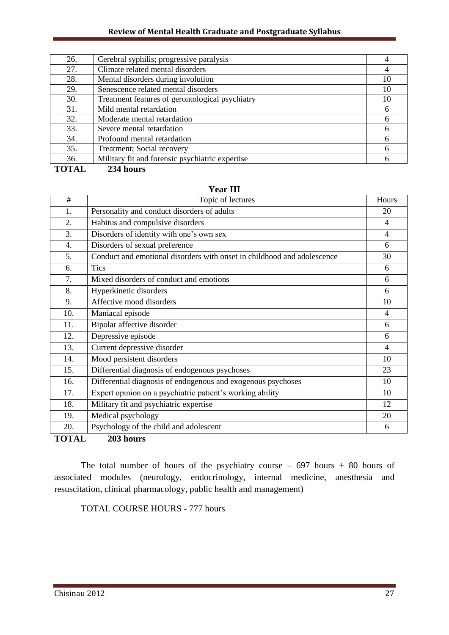#### **Review of Mental Health Graduate and Postgraduate Syllabus**

| 26. | Cerebral syphilis; progressive paralysis        |    |
|-----|-------------------------------------------------|----|
| 27. | Climate related mental disorders                |    |
| 28. | Mental disorders during involution              | 10 |
| 29. | Senescence related mental disorders             | 10 |
| 30. | Treatment features of gerontological psychiatry | 10 |
| 31. | Mild mental retardation                         | 6  |
| 32. | Moderate mental retardation                     | 6  |
| 33. | Severe mental retardation                       | 6  |
| 34. | Profound mental retardation                     | 6  |
| 35. | Treatment; Social recovery                      | 6  |
| 36. | Military fit and forensic psychiatric expertise | 6  |
|     |                                                 |    |

**TOTAL 234 hours**

| $\#$             | Topic of lectures                                                       | Hours          |
|------------------|-------------------------------------------------------------------------|----------------|
| 1.               | Personality and conduct disorders of adults                             | 20             |
| 2.               | Habitus and compulsive disorders                                        | $\overline{4}$ |
| 3.               | Disorders of identity with one's own sex                                | 4              |
| $\overline{4}$ . | Disorders of sexual preference                                          | 6              |
| 5.               | Conduct and emotional disorders with onset in childhood and adolescence | 30             |
| 6.               | <b>Tics</b>                                                             | 6              |
| 7.               | Mixed disorders of conduct and emotions                                 | 6              |
| 8.               | Hyperkinetic disorders                                                  | 6              |
| 9.               | Affective mood disorders                                                | 10             |
| 10.              | Maniacal episode                                                        | $\overline{4}$ |
| 11.              | Bipolar affective disorder                                              | 6              |
| 12.              | Depressive episode                                                      | 6              |
| 13.              | Current depressive disorder                                             | $\overline{4}$ |
| 14.              | Mood persistent disorders                                               | 10             |
| 15.              | Differential diagnosis of endogenous psychoses                          | 23             |
| 16.              | Differential diagnosis of endogenous and exogenous psychoses            | 10             |
| 17.              | Expert opinion on a psychiatric patient's working ability               | 10             |
| 18.              | Military fit and psychiatric expertise                                  | 12             |
| 19.              | Medical psychology                                                      | 20             |
| 20.              | Psychology of the child and adolescent                                  | 6              |
| <b>TOTAL</b>     | 203 hours                                                               |                |

**Year III**

The total number of hours of the psychiatry course  $-697$  hours  $+80$  hours of associated modules (neurology, endocrinology, internal medicine, anesthesia and resuscitation, clinical pharmacology, public health and management)

TOTAL COURSE HOURS - 777 hours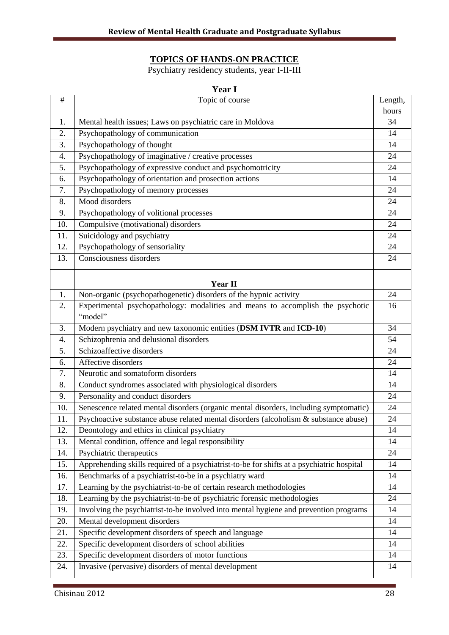#### **TOPICS OF HANDS-ON PRACTICE**

Psychiatry residency students, year I-II-III

| <b>Year I</b> |                                                                                           |          |
|---------------|-------------------------------------------------------------------------------------------|----------|
| $\#$          | Topic of course                                                                           | Length,  |
|               |                                                                                           | hours    |
| 1.            | Mental health issues; Laws on psychiatric care in Moldova                                 | 34       |
| 2.            | Psychopathology of communication                                                          | 14       |
| 3.            | Psychopathology of thought                                                                | 14       |
| 4.            | Psychopathology of imaginative / creative processes                                       | 24       |
| 5.            | Psychopathology of expressive conduct and psychomotricity                                 | 24       |
| 6.            | Psychopathology of orientation and prosection actions                                     | 14       |
| 7.            | Psychopathology of memory processes                                                       | 24       |
| 8.            | Mood disorders                                                                            | 24       |
| 9.            | Psychopathology of volitional processes                                                   | 24       |
| 10.           | Compulsive (motivational) disorders                                                       | 24       |
| 11.           | Suicidology and psychiatry                                                                | 24       |
| 12.           | Psychopathology of sensoriality                                                           | 24       |
| 13.           | Consciousness disorders                                                                   | 24       |
|               | Year II                                                                                   |          |
| 1.            | Non-organic (psychopathogenetic) disorders of the hypnic activity                         | 24       |
| 2.            | Experimental psychopathology: modalities and means to accomplish the psychotic            | 16       |
|               | "model"                                                                                   |          |
| 3.            | Modern psychiatry and new taxonomic entities (DSM IVTR and ICD-10)                        | 34       |
| 4.            | Schizophrenia and delusional disorders                                                    | 54       |
| 5.            | Schizoaffective disorders                                                                 |          |
| 6.            | Affective disorders                                                                       |          |
| 7.            | Neurotic and somatoform disorders                                                         |          |
| 8.            | Conduct syndromes associated with physiological disorders                                 | 14<br>14 |
| 9.            | Personality and conduct disorders                                                         | 24       |
| 10.           | Senescence related mental disorders (organic mental disorders, including symptomatic)     | 24       |
| 11.           | Psychoactive substance abuse related mental disorders (alcoholism & substance abuse)      | 24       |
| 12.           | Deontology and ethics in clinical psychiatry                                              | 14       |
| 13.           | Mental condition, offence and legal responsibility                                        | 14       |
| 14.           | Psychiatric therapeutics                                                                  | 24       |
| 15.           | Apprehending skills required of a psychiatrist-to-be for shifts at a psychiatric hospital | 14       |
| 16.           | Benchmarks of a psychiatrist-to-be in a psychiatry ward                                   | 14       |
| 17.           | Learning by the psychiatrist-to-be of certain research methodologies                      | 14       |
| 18.           | Learning by the psychiatrist-to-be of psychiatric forensic methodologies                  | 24       |
| 19.           | Involving the psychiatrist-to-be involved into mental hygiene and prevention programs     | 14       |
| 20.           | Mental development disorders                                                              | 14       |
| 21.           | Specific development disorders of speech and language                                     | 14       |
| 22.           | Specific development disorders of school abilities                                        | 14       |
| 23.           | Specific development disorders of motor functions                                         | 14       |
| 24.           | Invasive (pervasive) disorders of mental development                                      | 14       |
|               |                                                                                           |          |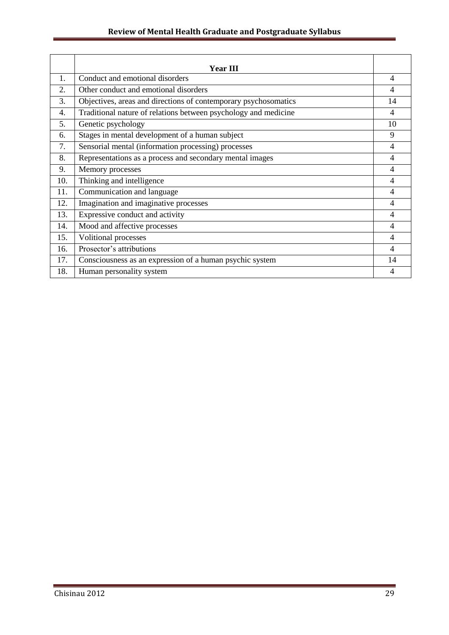# **Review of Mental Health Graduate and Postgraduate Syllabus**

|     | <b>Year III</b>                                                 |    |
|-----|-----------------------------------------------------------------|----|
| 1.  | Conduct and emotional disorders                                 | 4  |
| 2.  | Other conduct and emotional disorders                           | 4  |
| 3.  | Objectives, areas and directions of contemporary psychosomatics | 14 |
| 4.  | Traditional nature of relations between psychology and medicine | 4  |
| 5.  | Genetic psychology                                              | 10 |
| 6.  | Stages in mental development of a human subject                 | 9  |
| 7.  | Sensorial mental (information processing) processes             | 4  |
| 8.  | Representations as a process and secondary mental images        | 4  |
| 9.  | Memory processes                                                | 4  |
| 10. | Thinking and intelligence                                       | 4  |
| 11. | Communication and language                                      | 4  |
| 12. | Imagination and imaginative processes                           | 4  |
| 13. | Expressive conduct and activity                                 | 4  |
| 14. | Mood and affective processes                                    | 4  |
| 15. | <b>Volitional processes</b>                                     | 4  |
| 16. | Prosector's attributions                                        | 4  |
| 17. | Consciousness as an expression of a human psychic system        | 14 |
| 18. | Human personality system                                        | 4  |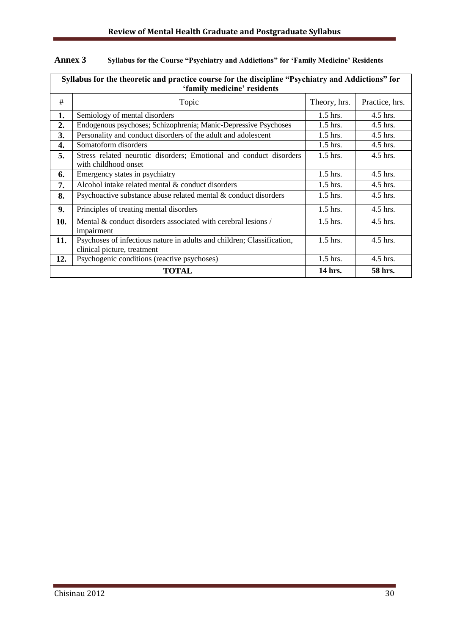| Syllabus for the theoretic and practice course for the discipline "Psychiatry and Addictions" for<br>'family medicine' residents |                                                                                                       |              |                |  |
|----------------------------------------------------------------------------------------------------------------------------------|-------------------------------------------------------------------------------------------------------|--------------|----------------|--|
| #                                                                                                                                | Topic                                                                                                 | Theory, hrs. | Practice, hrs. |  |
| 1.                                                                                                                               | Semiology of mental disorders                                                                         | $1.5$ hrs.   | $4.5$ hrs.     |  |
| 2.                                                                                                                               | Endogenous psychoses; Schizophrenia; Manic-Depressive Psychoses                                       | $1.5$ hrs.   | 4.5 hrs.       |  |
| 3.                                                                                                                               | Personality and conduct disorders of the adult and adolescent                                         | 1.5 hrs.     | 4.5 hrs.       |  |
| 4.                                                                                                                               | Somatoform disorders                                                                                  | $1.5$ hrs.   | 4.5 hrs.       |  |
| 5.                                                                                                                               | Stress related neurotic disorders; Emotional and conduct disorders<br>with childhood onset            | $1.5$ hrs.   | $4.5$ hrs.     |  |
| 6.                                                                                                                               | Emergency states in psychiatry                                                                        | $1.5$ hrs.   | 4.5 hrs.       |  |
| 7.                                                                                                                               | Alcohol intake related mental & conduct disorders                                                     | $1.5$ hrs.   | $4.5$ hrs.     |  |
| 8.                                                                                                                               | Psychoactive substance abuse related mental & conduct disorders                                       | $1.5$ hrs.   | 4.5 hrs.       |  |
| 9.                                                                                                                               | Principles of treating mental disorders                                                               | $1.5$ hrs.   | 4.5 hrs.       |  |
| 10.                                                                                                                              | Mental & conduct disorders associated with cerebral lesions /<br>impairment                           | $1.5$ hrs.   | 4.5 hrs.       |  |
| 11.                                                                                                                              | Psychoses of infectious nature in adults and children; Classification,<br>clinical picture, treatment | $1.5$ hrs.   | 4.5 hrs.       |  |
| 12.                                                                                                                              | Psychogenic conditions (reactive psychoses)                                                           | $1.5$ hrs.   | 4.5 hrs.       |  |
|                                                                                                                                  | <b>TOTAL</b><br>14 hrs.<br>58 hrs.                                                                    |              |                |  |

# **Annex 3 Syllabus for the Course "Psychiatry and Addictions" for "Family Medicine" Residents**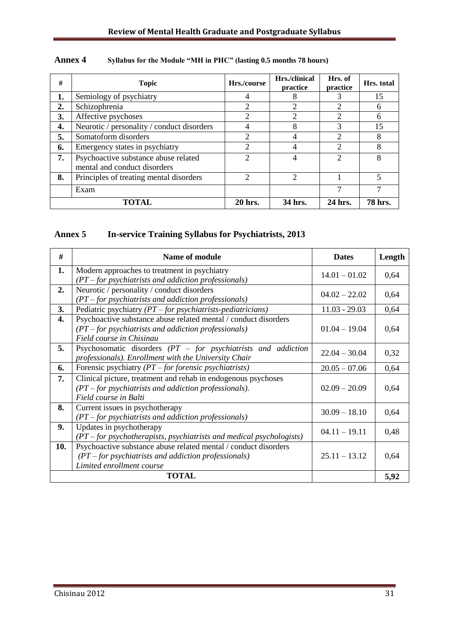| #  | <b>Topic</b>                                                         | Hrs./course                 | Hrs./clinical<br>practice | Hrs. of<br>practice         | Hrs. total     |
|----|----------------------------------------------------------------------|-----------------------------|---------------------------|-----------------------------|----------------|
| 1. | Semiology of psychiatry                                              | 4                           | 8                         |                             | 15             |
| 2. | Schizophrenia                                                        | 2                           | 2                         | $\mathcal{D}_{\mathcal{L}}$ | 6              |
| 3. | Affective psychoses                                                  | $\overline{2}$              | 2                         | 2                           | 6              |
| 4. | Neurotic / personality / conduct disorders                           | 4                           | 8                         | 3                           | 15             |
| 5. | Somatoform disorders                                                 | $\overline{c}$              | $\overline{4}$            | $\mathcal{D}$               | 8              |
| 6. | Emergency states in psychiatry                                       | $\overline{2}$              | $\overline{4}$            | $\mathfrak{D}$              | 8              |
| 7. | Psychoactive substance abuse related<br>mental and conduct disorders | $\overline{2}$              | 4                         | 2                           | 8              |
| 8. | Principles of treating mental disorders                              | $\mathcal{D}_{\mathcal{A}}$ | $\mathcal{D}$             |                             | 5              |
|    | Exam                                                                 |                             |                           |                             |                |
|    | TOTAL                                                                | 20 hrs.                     | 34 hrs.                   | 24 hrs.                     | <b>78 hrs.</b> |

#### **Annex 4 Syllabus for the Module "MH in PHC" (lasting 0.5 months 78 hours)**

#### **Annex 5 In-service Training Syllabus for Psychiatrists, 2013**

| #   | <b>Name of module</b>                                                                                                                                  | <b>Dates</b>    | Length |
|-----|--------------------------------------------------------------------------------------------------------------------------------------------------------|-----------------|--------|
| 1.  | Modern approaches to treatment in psychiatry<br>$(PT$ – for psychiatrists and addiction professionals)                                                 | $14.01 - 01.02$ | 0,64   |
| 2.  | Neurotic / personality / conduct disorders<br>$(PT$ – for psychiatrists and addiction professionals)                                                   | $04.02 - 22.02$ | 0,64   |
| 3.  | Pediatric psychiatry $(PT - for \,pychiatrists-pediatricians)$                                                                                         | $11.03 - 29.03$ | 0,64   |
| 4.  | Psychoactive substance abuse related mental / conduct disorders<br>$(PT$ – for psychiatrists and addiction professionals)<br>Field course in Chisinau  | $01.04 - 19.04$ | 0,64   |
| 5.  | Psychosomatic disorders $(PT - for \,pychiatrists \,and \,addiction$<br>professionals). Enrollment with the University Chair                           | $22.04 - 30.04$ | 0,32   |
| 6.  | Forensic psychiatry $(PT$ – for forensic psychiatrists)                                                                                                | $20.05 - 07.06$ | 0,64   |
| 7.  | Clinical picture, treatment and rehab in endogenous psychoses<br>$(PT$ – for psychiatrists and addiction professionals).<br>Field course in Balti      | $02.09 - 20.09$ | 0,64   |
| 8.  | Current issues in psychotherapy<br>$(PT$ – for psychiatrists and addiction professionals)                                                              | $30.09 - 18.10$ | 0,64   |
| 9.  | Updates in psychotherapy<br>$(PT$ – for psychotherapists, psychiatrists and medical psychologists)                                                     | $04.11 - 19.11$ | 0,48   |
| 10. | Psychoactive substance abuse related mental / conduct disorders<br>$(PT$ – for psychiatrists and addiction professionals)<br>Limited enrollment course | $25.11 - 13.12$ | 0,64   |
|     | <b>TOTAL</b>                                                                                                                                           |                 | 5,92   |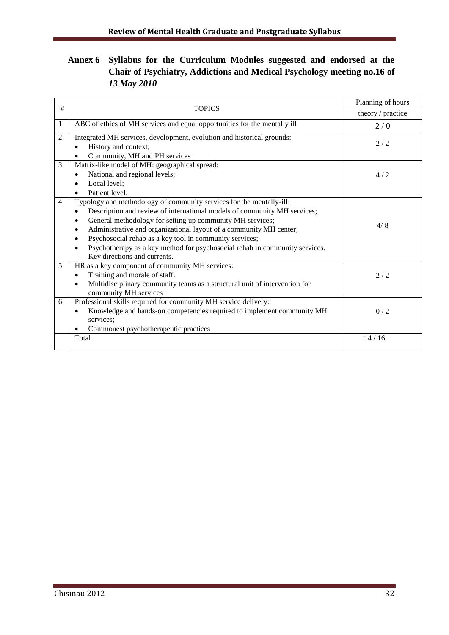# **Annex 6 Syllabus for the Curriculum Modules suggested and endorsed at the Chair of Psychiatry, Addictions and Medical Psychology meeting no.16 of**  *13 May 2010*

|                |                                                                                                             | Planning of hours |  |
|----------------|-------------------------------------------------------------------------------------------------------------|-------------------|--|
| #              | <b>TOPICS</b>                                                                                               | theory / practice |  |
| 1              | ABC of ethics of MH services and equal opportunities for the mentally ill                                   | 2/0               |  |
| $\overline{2}$ | Integrated MH services, development, evolution and historical grounds:<br>History and context;<br>$\bullet$ | 2/2               |  |
|                | Community, MH and PH services<br>$\bullet$                                                                  |                   |  |
| 3              | Matrix-like model of MH: geographical spread:                                                               |                   |  |
|                | National and regional levels;<br>$\bullet$                                                                  | 4/2               |  |
|                | Local level;                                                                                                |                   |  |
|                | Patient level.<br>$\bullet$                                                                                 |                   |  |
| $\overline{4}$ | Typology and methodology of community services for the mentally-ill:                                        |                   |  |
|                | Description and review of international models of community MH services;<br>٠                               |                   |  |
|                | General methodology for setting up community MH services;                                                   | 4/8               |  |
|                | Administrative and organizational layout of a community MH center;<br>$\bullet$                             |                   |  |
|                | Psychosocial rehab as a key tool in community services;                                                     |                   |  |
|                | Psychotherapy as a key method for psychosocial rehab in community services.<br>Key directions and currents. |                   |  |
| 5              | HR as a key component of community MH services:                                                             |                   |  |
|                | Training and morale of staff.<br>$\bullet$                                                                  | 2/2               |  |
|                | Multidisciplinary community teams as a structural unit of intervention for<br>$\bullet$                     |                   |  |
|                | community MH services                                                                                       |                   |  |
| 6              | Professional skills required for community MH service delivery:                                             |                   |  |
|                | Knowledge and hands-on competencies required to implement community MH<br>$\bullet$<br>services;            | 0/2               |  |
|                | Commonest psychotherapeutic practices                                                                       |                   |  |
|                | Total                                                                                                       | 14/16             |  |